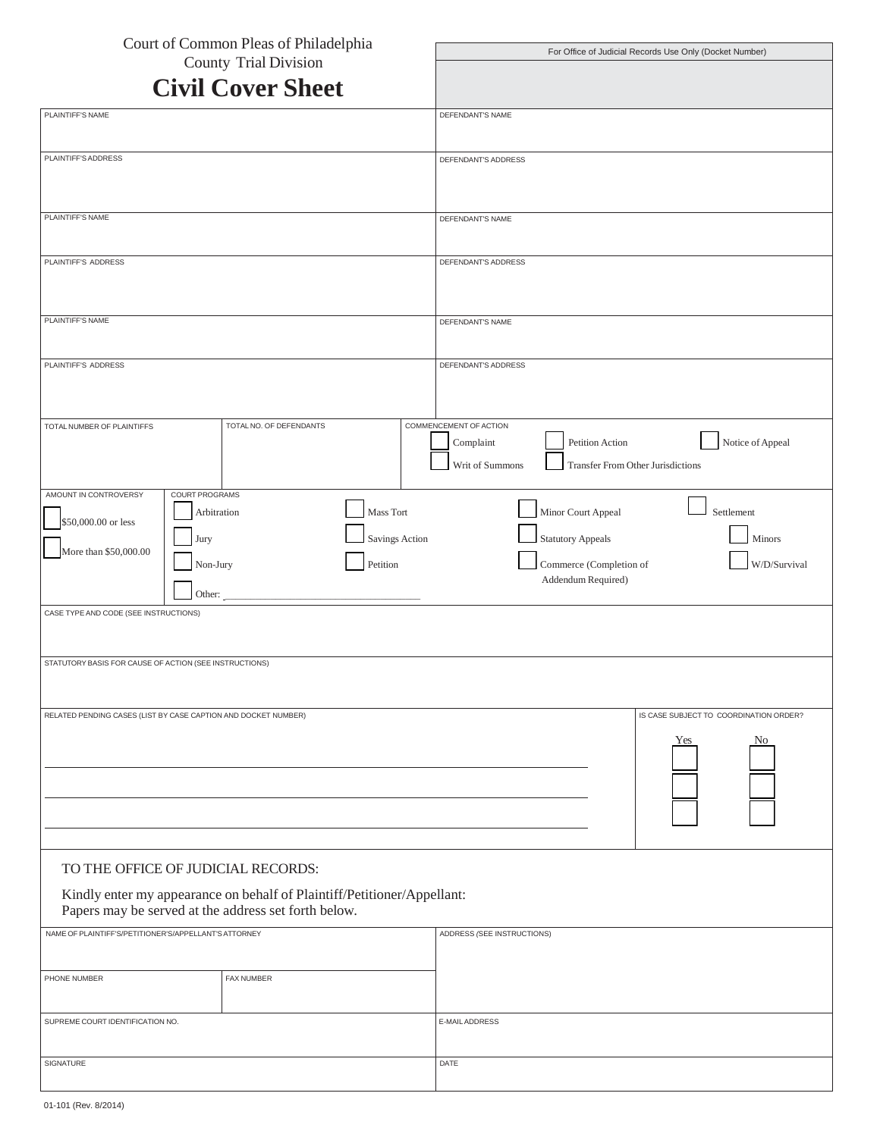| Court of Common Pleas of Philadelphia                                                                                           | For Office of Judicial Records Use Only (Docket Number)       |
|---------------------------------------------------------------------------------------------------------------------------------|---------------------------------------------------------------|
| <b>County Trial Division</b>                                                                                                    |                                                               |
| <b>Civil Cover Sheet</b>                                                                                                        |                                                               |
| PLAINTIFF'S NAME                                                                                                                | DEFENDANT'S NAME                                              |
| PLAINTIFF'S ADDRESS                                                                                                             | DEFENDANT'S ADDRESS                                           |
|                                                                                                                                 |                                                               |
|                                                                                                                                 |                                                               |
| PLAINTIFF'S NAME                                                                                                                | DEFENDANT'S NAME                                              |
| PLAINTIFF'S ADDRESS                                                                                                             | DEFENDANT'S ADDRESS                                           |
|                                                                                                                                 |                                                               |
| PLAINTIFF'S NAME                                                                                                                |                                                               |
|                                                                                                                                 | DEFENDANT'S NAME                                              |
| PLAINTIFF'S ADDRESS                                                                                                             | DEFENDANT'S ADDRESS                                           |
|                                                                                                                                 |                                                               |
| TOTAL NO. OF DEFENDANTS<br>TOTAL NUMBER OF PLAINTIFFS                                                                           | COMMENCEMENT OF ACTION                                        |
|                                                                                                                                 | Notice of Appeal<br>Petition Action<br>Complaint              |
|                                                                                                                                 | Writ of Summons<br>Transfer From Other Jurisdictions          |
| COURT PROGRAMS<br>AMOUNT IN CONTROVERSY                                                                                         |                                                               |
| Mass Tort<br>Arbitration<br>\$50,000.00 or less                                                                                 | Minor Court Appeal<br>Settlement                              |
| Savings Action<br>Jury<br>More than \$50,000.00                                                                                 | <b>Statutory Appeals</b><br>Minors                            |
| Petition<br>Non-Jury                                                                                                            | Commerce (Completion of<br>W/D/Survival<br>Addendum Required) |
| Other:<br>CASE TYPE AND CODE (SEE INSTRUCTIONS)                                                                                 |                                                               |
|                                                                                                                                 |                                                               |
| STATUTORY BASIS FOR CAUSE OF ACTION (SEE INSTRUCTIONS)                                                                          |                                                               |
|                                                                                                                                 |                                                               |
| RELATED PENDING CASES (LIST BY CASE CAPTION AND DOCKET NUMBER)                                                                  | IS CASE SUBJECT TO COORDINATION ORDER?                        |
|                                                                                                                                 | Yes<br>No.                                                    |
|                                                                                                                                 |                                                               |
|                                                                                                                                 |                                                               |
|                                                                                                                                 |                                                               |
|                                                                                                                                 |                                                               |
| TO THE OFFICE OF JUDICIAL RECORDS:                                                                                              |                                                               |
| Kindly enter my appearance on behalf of Plaintiff/Petitioner/Appellant:<br>Papers may be served at the address set forth below. |                                                               |
| NAME OF PLAINTIFF'S/PETITIONER'S/APPELLANT'S ATTORNEY                                                                           | ADDRESS (SEE INSTRUCTIONS)                                    |
| FAX NUMBER                                                                                                                      |                                                               |
| PHONE NUMBER                                                                                                                    |                                                               |
| SUPREME COURT IDENTIFICATION NO.                                                                                                | E-MAIL ADDRESS                                                |
|                                                                                                                                 |                                                               |
| SIGNATURE                                                                                                                       | DATE                                                          |